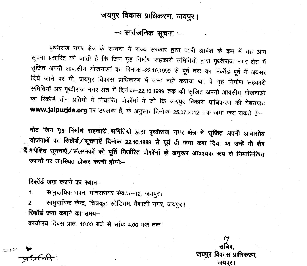# जयपुर विकास प्राधिकरण, जयपुर।

- सार्वजनिक सूचना :-

पृथ्वीराज नगर क्षेत्र के सम्बन्ध में राज्य सरकार द्वारा जारी आदेश के क्रम में यह आम सूचना प्रसारित की जाती है कि जिन गृह निर्माण सहकारी समितियों द्वारा पृथ्वीराज नगर क्षेत्र में सृजित अपनी आवासीय योजनाओं का दिनांक–22.10.1999 से पूर्व तक का रिकॉर्ड पूर्व में अवसर दिये जाने पर भी, जयपुर विकास प्राधिकरण में जमा नही कराया था, वे गृह निर्माण सहकारी समितियाँ अब पृथ्वीराज नगर क्षेत्र में दिनांक–22.10.1999 तक की सृजित अपनी आवसीय योजनाओं का रिकॉर्ड तीन प्रतियों में निर्धारित प्रोफॉर्मा में जो कि जयपुर विकास प्राधिकरण की वेबसाइट www.jaipurjda.org पर उपलब्ध है, के अनुसार दिनांक-25.07.2012 तक जमा करा सकते है:-

नोट-जिन गृह निर्माण सहकारी समितियों द्वारा पृथ्वीराज नगर क्षेत्र में सृजित अपनी आवासीय योजनाअें का रिकॉर्ड/सूचनाऐं दिनांक-22.10.1999 से पूर्व ही जमा करा दिया था उन्हें भी शेष ्रे अपेक्षित सूनचाऐं / संलग्नकों की पूर्ति निर्धारित प्रोफॉर्मा के अनुरूप आवश्यक रूप से निम्नलिखित स्थानों पर उपस्थित होकर करनी होगी:--

रिकॉर्ड जमा कराने का स्थान-

सामुदायिक भवन, मानसरोवर सेक्टर-12, जयपुर।  $\mathbf{1}$ .

सामुदायिक केन्द्र, चित्रकूट स्टेडियम, वैशाली नगर, जयपुर।  $2.$ रिकॉर्ड जमा कराने का समय-

कार्यालय दिवस प्रातः 10.00 बजे से सांयः 4.00 बजे तक।

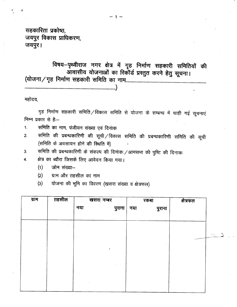सहकारिता प्रकोष्ठ, जयपुर विकास प्राधिकरण, जयपुर।

विषय-पृथ्वीराज नगर क्षेत्र में गृह निर्माण सहकारी समितियों की आवासीय योजनाओं का रिकॉर्ड प्रस्तुत करने हेतु सूचना। 

महोदय,

गृह निर्माण सहकारी समिति / विकास समिति से योजना के सम्बन्ध में चाही गई सूचनाएं निम्न प्रकार से हैं:--

- समिति का नाम, पंजीयन संख्या एवं दिनांक 1.
- समिति की प्रबन्धकारिणी की सूची /विकास समिति की प्रबन्धकारिणी समिति की सूची  $2.$ (समिति के अवसायन होने की स्थिति में)
- समिति की प्रबन्धकारिणी के संकल्प की दिनांकः /आमसभा की पुष्टि की दिनाकः 3.

क्षेत्र का ब्यौरा जिसके लिए आवेदन किया गया। 4.

- जोन संख्या- $(1)$
- ग्राम और तहसील का नाम  $(2)$
- योजना की भूमि का विवरण (खसरा संख्या व क्षेत्रफल)  $\left( 3\right)$

| ग्राम | तहसील | खसरा नम्बर |        | रकबा |        | क्षेत्रफल |  |
|-------|-------|------------|--------|------|--------|-----------|--|
|       |       | नया        | पुराना | नया  | पुराना |           |  |
|       |       |            |        |      |        |           |  |
|       |       |            |        |      |        |           |  |
|       |       |            |        |      |        |           |  |
|       |       |            |        |      |        |           |  |
|       |       |            | ٠      |      |        |           |  |
|       |       |            |        |      |        |           |  |
|       |       |            |        |      |        |           |  |
|       |       |            |        |      |        |           |  |
|       |       |            |        |      |        |           |  |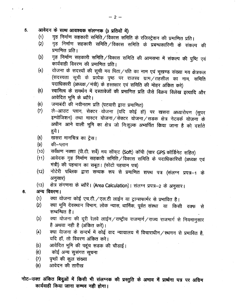आवेदन के साथ आवश्यक संलग्नक (3 प्रतियों में) 5.

- गृह निर्माण सहकारी समिति / विकास समिति के रजिस्ट्रेशन की प्रमाणित प्रति।  $(1)$
- गृह निर्माण सहकारी समिति/विकास समिति के प्रबन्धकारिणी के संकल्प की  $(2)$ प्रमाणित प्रति।
- गृह निर्माण सहकारी समिति / विकास समिति की आमसभा में संकल्प की पुष्टि एवं  $(3)$ कार्यवाही विवरण की प्रमाणित प्रति।
- योजना के सदस्यों की सूची मय पिता/पति का नाम एवं भूखण्ड संख्या मय क्षेत्रफल  $\left( 4\right)$ (सदस्यता सूची के प्रत्येक पृष्ठ पर राजस्व ग्राम/तहसील का नाम, समिति पदाधिकारी (अध्यक्ष / मंत्री) के हस्तक्षार एवं समिति की मोहर अंकित करे)
- स्वामित्व के समर्थन में दस्तावेजों की प्रमाणित प्रति जैसे विक्रय विलेख इत्यादि और  $(5)$ आवेदित भूमि के ब्यौरे।
- जमाबंदी की नवीनतम प्रति (पटवारी द्वारा प्रमाणित)  $(6)$
- ले-आउट प्लान, सेक्टर योजना (यदि कोई हो) पर खसरा अध्यारोपण (सुपर  $(7)$ इम्पोजिशन) तथा मास्टर योजना ⁄ सेक्टर योजना ⁄ सडक क्षेत्र नेटवर्क योजना के अधीन आने वाली भूमि का क्षेत्र जो निःशुल्क अभ्यर्पित किया जाना है को दर्शाते हुये।
- खसरा मानचित्र का ट्रेस।  $(8)$
- $(9)$ की–प्लान
- सर्वेक्षण नक्शा (पी.टी. सर्वे) मय सॉफ्ट (Soft) कॉपी (चार GPS कॉर्डिनेट सहित)  $(10)$
- आवेदक गृह निर्माण सहकारी समिति / विकास समिति के पदाधिकारियों (अध्यक्ष एवं  $(11)$ मंत्री) की पहचान का सबूत। (फोटो पहचान पत्र)
- नोटेरी पब्लिक द्वारा सम्यक रूप से प्रमाणित शपथ पत्र (संलग्न प्रपत्र–1 के  $(12)$ अनुसार)
- क्षेत्र संगणना के ब्यौरें। (Area Calculation)। संलग्न प्रपत्र-2 के अनुसार।  $(13)$

#### अन्य विवरण। 6.

 $\mathcal{L} = \mathcal{L}$ 

- क्या योजना कोई एच.टी./एल.टी लाईन या ट्रान्सफार्मर से प्रभावित है।  $(1)$
- क्या भूमि देवस्थान विभाग, लोक न्यास, धार्मिक, पूर्वत संस्था) या किसी वक्फ से  $(2)$ सम्बन्धित है।
- क्या योजना की दूरी रेलवे लाईन/राष्ट्रीय राजमार्ग/राज्य राजमार्ग से नियमानुसार  $(3)$ है अथवा नही है (अंकित करें)।
- क्या येाजना के सन्दर्भ में कोई वाद न्यायालय में विचाराधीन/स्थगन से प्रभावित है,  $(4)$ यदि हॉ, तो विवरण अंकित करे।
- आवेदित भूमि की पहूंच सड़क की चौडाई।  $(5)$
- कोई अन्य सुसंगत सूचना  $(6)$
- $(7)$ पृष्ठों की कूल संख्या
- आवेदन की तारीख  $(8)$

नोट-उक्त अंकित बिदुओं में किसी भी संलग्नक की प्रस्तुति के अभाव में प्रार्थना पत्र पर अग्रिम कार्यवाही किया जाना सम्भव नही होगा।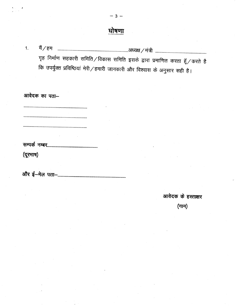# घोषणा

 $-3-$ 

मैं ⁄ हम  $1.$ गृह निर्माण सहकारी समिति / विकास समिति इसके द्वारा प्रमाणित करता हूँ / करते है कि उपर्युक्त प्रविष्ठियां मेरी / हमारी जानकारी और विश्वास के अनुसार सही है।

आवेदक का पता-

(दूरमाष)

आवेदक के हस्ताक्षर

(नाम)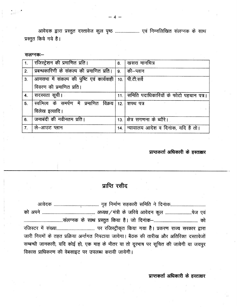प्रस्तुत किये गये है।

सलग्नक:--

| 1.             | रजिस्ट्रेशन की प्रमाणित प्रति।                      | 8.   | खसरा मानचित्र                          |
|----------------|-----------------------------------------------------|------|----------------------------------------|
| 2.             | प्रबन्धकारिणी के संकल्प की प्रमाणित प्रति। 9.       |      | की–प्लान                               |
| 3.             | आमसभा में संकल्प की पुष्टि एवं कार्यवाही            |      | 10. पी.टी.सर्वे                        |
|                | विवरण की प्रमाणित प्रति।                            |      |                                        |
| 4.             | सदस्यता सूची।                                       | 11.1 | समिति पदाधिकारियों के फोटो पहचान पत्र। |
| 5.             | स्वामित्व के समर्पण में प्रमाणित विक्रय 12 शपथ पत्र |      |                                        |
|                | विलेख इत्यादि।                                      |      |                                        |
| 6.             | जमाबंदी की नवीनतम प्रति।                            | 13.1 | क्षेत्र सगणना के ब्यौरे।               |
| 7 <sub>1</sub> | ले–आउट प्लान                                        | 14.  | न्यायालय आदेश व दिनाक, यदि है तो।      |

# प्राप्तकर्ता अधिकारी के हस्ताक्षर

# प्राप्ति रसीद

|                                                    | जारी नियमों के तहत प्रक्रिया अर्न्तगत निपटाया जायेगा। बैठक की तारीख और अतिरिक्त दस्तावेजों |  |
|----------------------------------------------------|--------------------------------------------------------------------------------------------|--|
|                                                    | सम्बन्धी जानकारी, यदि कोई हो, एक माह के भीतर या तो दूरभाष पर सूचित की जावेगी या जयपुर      |  |
| विकास प्राधिकरण की वेबसाइट पर उपलब्ध करायी जायेगी। |                                                                                            |  |

प्राप्तकर्ता अधिकारी के हस्ताक्षर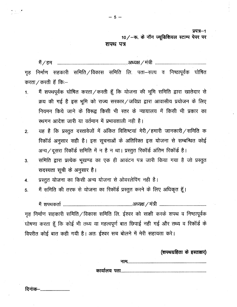प्रपत्र—1

10/- फ. के नॉन ज्यूडिशियल स्टाम्प पेपर पर

#### शपथ पत्र

निर्माण सहकारी समिति विकास समिति लि. पता—सत्य व निष्ठापूर्वक घोषित गह करता / करती हॅ कि :-

- मैं शपथपूर्वक घोषित करता / करती हूँ कि योजना की भूमि समिति द्वारा खातेदार से  $\mathbf{1}$ . क्रय की गई है इस भूमि को राज्य सरकार / जविप्रा द्वारा आवासीय प्रयोजन के लिए नियमन किये जाने के विरूद्व किसी भी स्तर के न्यायालय में किसी भी प्रकार का स्थगन आदेश जारी या वर्तमान में प्रभावशाली नही है।
- यह है कि प्रस्तुत दस्तावेजों में अंकित विशिष्टयां मेरी / हमारी जानकारी / समिति क  $2.$ रिकॉर्ड अनुसार सही है। इस सूचनाओं के अतिरिक्त इस योजना से सम्बन्धित कोई अन्य / दूसरा रिकॉर्ड समिति में न है न था। प्रस्तुत रिकॉर्ड अंतिम रिकॉर्ड है।
- समिति द्वारा प्रत्येक भूखण्ड का एक ही आवंटन पत्र जारी किया गया है जो प्रस्तुत 3. सदस्यता सूची के अनुसार है।
- प्रस्तूत योजना का किसी अन्य योजना से ओवरलेपिंग नही है।  $\mathbf{4}$
- मैं समिति की तरफ से योजना का रिकॉर्ड प्रस्तुत करने के लिए अधिकृत हूँ। 5.

गृह निर्माण सहकारी समिति / विकास समिति लि. ईश्वर को साक्षी करके शपथ व निष्ठापूर्वक घोषणा करता हूँ कि कोई भी तथ्य या महत्वपूर्ण बात छिपाई नही गई और तथ्य व रिकॉर्ड के विपरीत कोई बात कही गयी है। अतः ईश्वर सच बोलने में मेरी सहायता करे।

(शपथग्रहिता के हस्ताक्षर)

दिनांक--............................